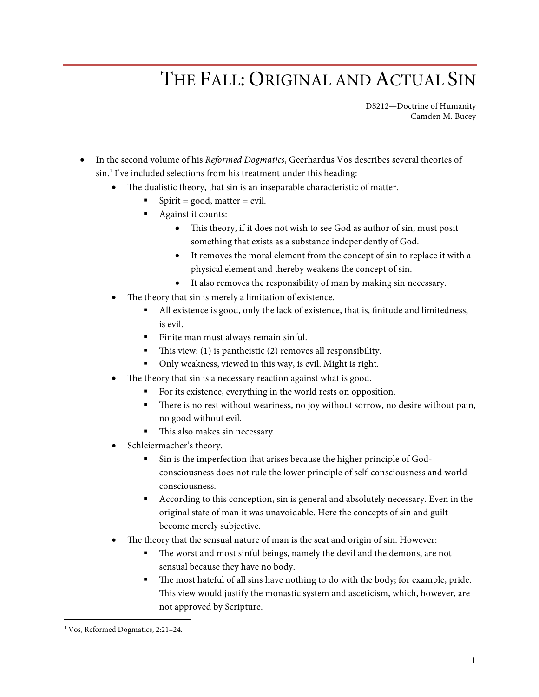## THE FALL: ORIGINAL AND ACTUAL SIN

DS212—Doctrine of Humanity Camden M. Bucey

- In the second volume of his *Reformed Dogmatics*, Geerhardus Vos describes several theories of sin.<sup>1</sup> I've included selections from his treatment under this heading:
	- The dualistic theory, that sin is an inseparable characteristic of matter.
		- $Spirit = good, matter = evil.$
		- § Against it counts:
			- This theory, if it does not wish to see God as author of sin, must posit something that exists as a substance independently of God.
			- It removes the moral element from the concept of sin to replace it with a physical element and thereby weakens the concept of sin.
			- It also removes the responsibility of man by making sin necessary.
	- The theory that sin is merely a limitation of existence.
		- All existence is good, only the lack of existence, that is, finitude and limitedness, is evil.
		- Finite man must always remain sinful.
		- This view: (1) is pantheistic (2) removes all responsibility.
		- § Only weakness, viewed in this way, is evil. Might is right.
	- The theory that sin is a necessary reaction against what is good.
		- For its existence, everything in the world rests on opposition.
		- There is no rest without weariness, no joy without sorrow, no desire without pain, no good without evil.
		- This also makes sin necessary.
	- Schleiermacher's theory.
		- Sin is the imperfection that arises because the higher principle of Godconsciousness does not rule the lower principle of self-consciousness and worldconsciousness.
		- § According to this conception, sin is general and absolutely necessary. Even in the original state of man it was unavoidable. Here the concepts of sin and guilt become merely subjective.
	- The theory that the sensual nature of man is the seat and origin of sin. However:
		- § The worst and most sinful beings, namely the devil and the demons, are not sensual because they have no body.
		- The most hateful of all sins have nothing to do with the body; for example, pride. This view would justify the monastic system and asceticism, which, however, are not approved by Scripture.

 <sup>1</sup> Vos, Reformed Dogmatics, 2:21–24.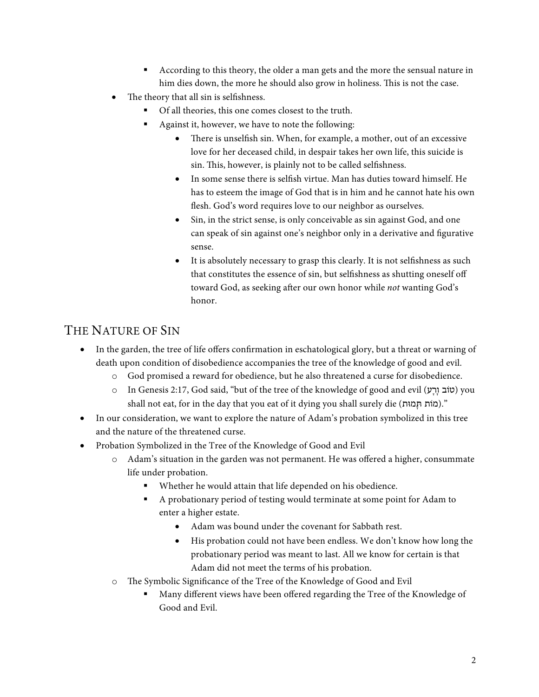- § According to this theory, the older a man gets and the more the sensual nature in him dies down, the more he should also grow in holiness. This is not the case.
- The theory that all sin is selfishness.
	- § Of all theories, this one comes closest to the truth.
	- Against it, however, we have to note the following:
		- There is unselfish sin. When, for example, a mother, out of an excessive love for her deceased child, in despair takes her own life, this suicide is sin. This, however, is plainly not to be called selfishness.
		- In some sense there is selfish virtue. Man has duties toward himself. He has to esteem the image of God that is in him and he cannot hate his own flesh. God's word requires love to our neighbor as ourselves.
		- Sin, in the strict sense, is only conceivable as sin against God, and one can speak of sin against one's neighbor only in a derivative and figurative sense.
		- It is absolutely necessary to grasp this clearly. It is not selfishness as such that constitutes the essence of sin, but selfishness as shutting oneself off toward God, as seeking after our own honor while *not* wanting God's honor.

## THE NATURE OF SIN

- In the garden, the tree of life offers confirmation in eschatological glory, but a threat or warning of death upon condition of disobedience accompanies the tree of the knowledge of good and evil.
	- o God promised a reward for obedience, but he also threatened a curse for disobedience.
	- o In Genesis 2:17, God said, "but of the tree of the knowledge of good and evil (טוֹב וָרָע) you shall not eat, for in the day that you eat of it dying you shall surely die (מוֹת תְּמוּת)."
- In our consideration, we want to explore the nature of Adam's probation symbolized in this tree and the nature of the threatened curse.
- Probation Symbolized in the Tree of the Knowledge of Good and Evil
	- o Adam's situation in the garden was not permanent. He was offered a higher, consummate life under probation.
		- Whether he would attain that life depended on his obedience.
		- § A probationary period of testing would terminate at some point for Adam to enter a higher estate.
			- Adam was bound under the covenant for Sabbath rest.
			- His probation could not have been endless. We don't know how long the probationary period was meant to last. All we know for certain is that Adam did not meet the terms of his probation.
	- o The Symbolic Significance of the Tree of the Knowledge of Good and Evil
		- § Many different views have been offered regarding the Tree of the Knowledge of Good and Evil.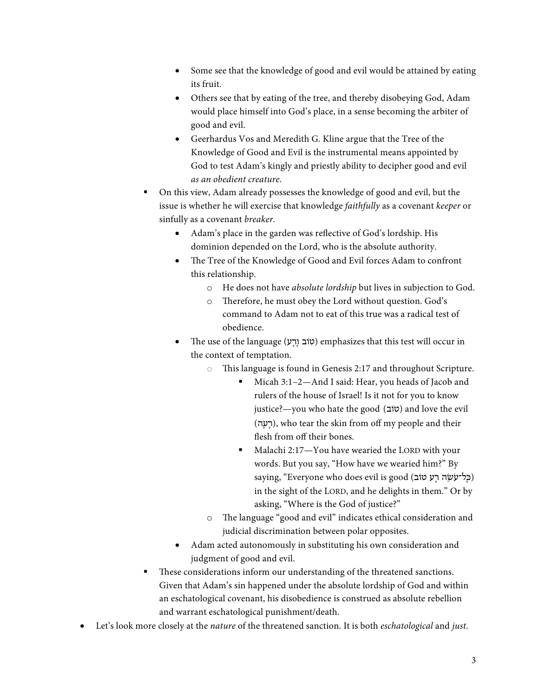- Some see that the knowledge of good and evil would be attained by eating its fruit.
- Others see that by eating of the tree, and thereby disobeying God, Adam would place himself into God's place, in a sense becoming the arbiter of good and evil.
- Geerhardus Vos and Meredith G. Kline argue that the Tree of the Knowledge of Good and Evil is the instrumental means appointed by God to test Adam's kingly and priestly ability to decipher good and evil *as an obedient creature*.
- § On this view, Adam already possesses the knowledge of good and evil, but the issue is whether he will exercise that knowledge *faithfully* as a covenant *keeper* or sinfully as a covenant *breaker*.
	- Adam's place in the garden was reflective of God's lordship. His dominion depended on the Lord, who is the absolute authority.
	- The Tree of the Knowledge of Good and Evil forces Adam to confront this relationship.
		- o He does not have *absolute lordship* but lives in subjection to God.
		- o Therefore, he must obey the Lord without question. God's command to Adam not to eat of this true was a radical test of obedience.
	- The use of the language (ע ָרָו טוֹב (emphasizes that this test will occur in the context of temptation.
		- o This language is found in Genesis 2:17 and throughout Scripture.
			- § Micah 3:1–2—And I said: Hear, you heads of Jacob and rulers of the house of Israel! Is it not for you to know justice?—you who hate the good (טוֹב) and love the evil (רָעָה), who tear the skin from off my people and their flesh from off their bones.
			- Malachi 2:17-You have wearied the LORD with your words. But you say, "How have we wearied him?" By saying, "Everyone who does evil is good (כַּל־עֹשֵׂה רָע טוֹב) in the sight of the LORD, and he delights in them." Or by asking, "Where is the God of justice?"
		- o The language "good and evil" indicates ethical consideration and judicial discrimination between polar opposites.
	- Adam acted autonomously in substituting his own consideration and judgment of good and evil.
- These considerations inform our understanding of the threatened sanctions. Given that Adam's sin happened under the absolute lordship of God and within an eschatological covenant, his disobedience is construed as absolute rebellion and warrant eschatological punishment/death.
- Let's look more closely at the *nature* of the threatened sanction. It is both *eschatological* and *just*.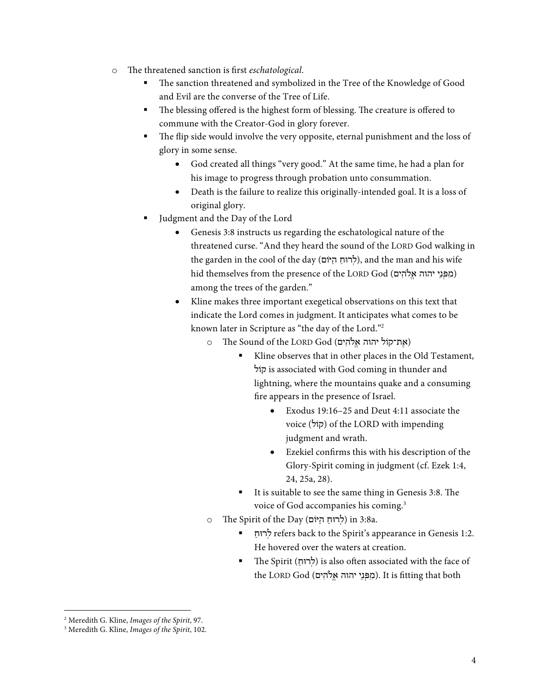- o The threatened sanction is first *eschatological*.
	- The sanction threatened and symbolized in the Tree of the Knowledge of Good and Evil are the converse of the Tree of Life.
	- The blessing offered is the highest form of blessing. The creature is offered to commune with the Creator-God in glory forever.
	- The flip side would involve the very opposite, eternal punishment and the loss of glory in some sense.
		- God created all things "very good." At the same time, he had a plan for his image to progress through probation unto consummation.
		- Death is the failure to realize this originally-intended goal. It is a loss of original glory.
	- Judgment and the Day of the Lord
		- Genesis 3:8 instructs us regarding the eschatological nature of the threatened curse. "And they heard the sound of the LORD God walking in the garden in the cool of the day (לְרוּחַ הַיּוֹם), and the man and his wife hid themselves from the presence of the LORD God (מִפְּנֵי יהוה אֵלֹהִים) among the trees of the garden."
		- Kline makes three important exegetical observations on this text that indicate the Lord comes in judgment. It anticipates what comes to be known later in Scripture as "the day of the Lord."2
			- o The Sound of the LORD God (אֲת־קוֹל יהוה אֱלֹהִים)
				- Kline observes that in other places in the Old Testament, קוֹל is associated with God coming in thunder and lightning, where the mountains quake and a consuming fire appears in the presence of Israel.
					- Exodus 19:16–25 and Deut 4:11 associate the voice (קוֹל (of the LORD with impending judgment and wrath.
					- Ezekiel confirms this with his description of the Glory-Spirit coming in judgment (cf. Ezek 1:4, 24, 25a, 28).
				- It is suitable to see the same thing in Genesis 3:8. The voice of God accompanies his coming.<sup>3</sup>
			- o The Spirit of the Day (לְרוּחַ הַיּוֹם) in 3:8a.
				- § ַרוּח ְל refers back to the Spirit's appearance in Genesis 1:2. He hovered over the waters at creation.
				- The Spirit (לְרוּחָ) is also often associated with the face of the LORD God (מִפְּנֵי יהוה אֱלֹהִים). It is fitting that both

 <sup>2</sup> Meredith G. Kline, *Images of the Spirit*, 97.

<sup>3</sup> Meredith G. Kline, *Images of the Spirit*, 102.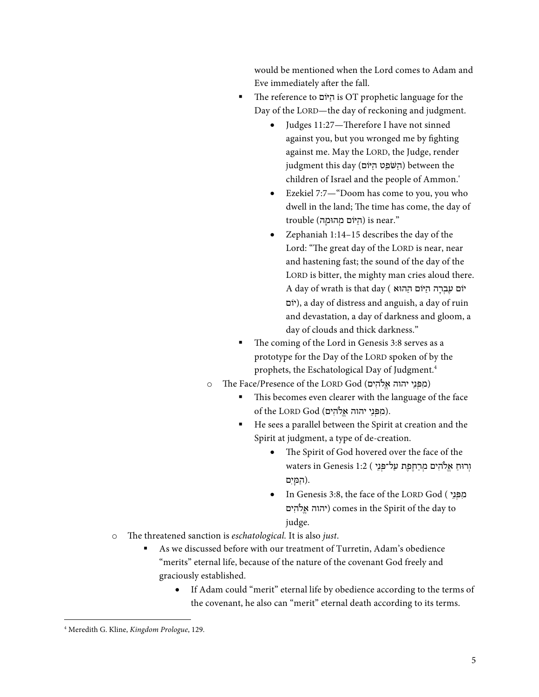would be mentioned when the Lord comes to Adam and Eve immediately after the fall.

- § The reference to יּוֹם ַה is OT prophetic language for the Day of the LORD—the day of reckoning and judgment.
	- Judges 11:27—Therefore I have not sinned against you, but you wronged me by fighting against me. May the LORD, the Judge, render  $j$ iudgment this day (הַשֹּׁפֵט הַיּוֹם) between the children of Israel and the people of Ammon.'
	- Ezekiel 7:7—"Doom has come to you, you who dwell in the land; The time has come, the day of  $t$ rouble (הַיּוֹם מְהוּמַה) is near."
	- Zephaniah 1:14–15 describes the day of the Lord: "The great day of the LORD is near, near and hastening fast; the sound of the day of the LORD is bitter, the mighty man cries aloud there. יוֹם עַבְרָה הַיּוֹם הַהוּא ) A day of wrath is that day יוֹם(, a day of distress and anguish, a day of ruin and devastation, a day of darkness and gloom, a day of clouds and thick darkness."
- The coming of the Lord in Genesis 3:8 serves as a prototype for the Day of the LORD spoken of by the prophets, the Eschatological Day of Judgment.4
- o The Face/Presence of the LORD God (מִפְּנֵי יהוה אֱלֹהִים)
	- This becomes even clearer with the language of the face of the LORD God (מִפְּנֵי יהוה אֱלֹהִים).
	- He sees a parallel between the Spirit at creation and the Spirit at judgment, a type of de-creation.
		- The Spirit of God hovered over the face of the וְרוּחַ אֱלֹהִים מְרַחֵפֵת עַל־פְּנֵי ) 2:1 waters in Genesis  $1:2$  ( .(הַ מָּ יִ ם
		- In Genesis 3:8, the face of the LORD God ( מפני יהוה אֱלֹהִים) comes in the Spirit of the day to judge.
- o The threatened sanction is *eschatological.* It is also *just*.
	- As we discussed before with our treatment of Turretin, Adam's obedience "merits" eternal life, because of the nature of the covenant God freely and graciously established.
		- If Adam could "merit" eternal life by obedience according to the terms of the covenant, he also can "merit" eternal death according to its terms.

 <sup>4</sup> Meredith G. Kline, *Kingdom Prologue*, 129.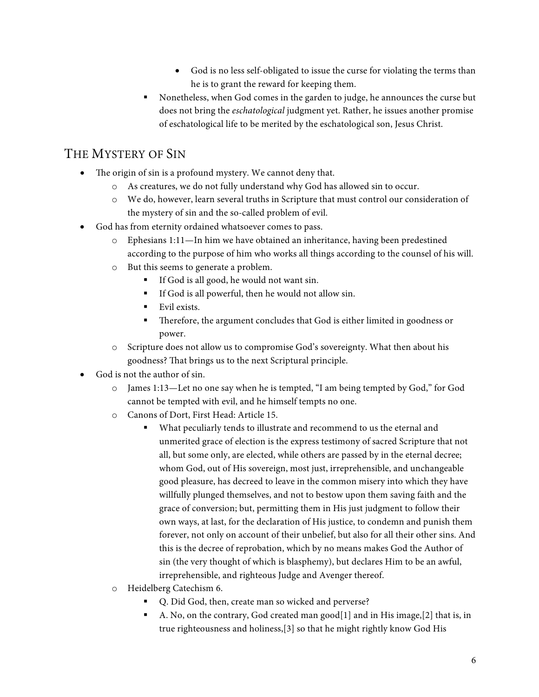- God is no less self-obligated to issue the curse for violating the terms than he is to grant the reward for keeping them.
- § Nonetheless, when God comes in the garden to judge, he announces the curse but does not bring the *eschatological* judgment yet. Rather, he issues another promise of eschatological life to be merited by the eschatological son, Jesus Christ.

## THE MYSTERY OF SIN

- The origin of sin is a profound mystery. We cannot deny that.
	- o As creatures, we do not fully understand why God has allowed sin to occur.
	- o We do, however, learn several truths in Scripture that must control our consideration of the mystery of sin and the so-called problem of evil.
- God has from eternity ordained whatsoever comes to pass.
	- o Ephesians 1:11—In him we have obtained an inheritance, having been predestined according to the purpose of him who works all things according to the counsel of his will.
	- o But this seems to generate a problem.
		- § If God is all good, he would not want sin.
		- § If God is all powerful, then he would not allow sin.
		- Evil exists.
		- Therefore, the argument concludes that God is either limited in goodness or power.
	- o Scripture does not allow us to compromise God's sovereignty. What then about his goodness? That brings us to the next Scriptural principle.
- God is not the author of sin.
	- o James 1:13—Let no one say when he is tempted, "I am being tempted by God," for God cannot be tempted with evil, and he himself tempts no one.
	- o Canons of Dort, First Head: Article 15.
		- What peculiarly tends to illustrate and recommend to us the eternal and unmerited grace of election is the express testimony of sacred Scripture that not all, but some only, are elected, while others are passed by in the eternal decree; whom God, out of His sovereign, most just, irreprehensible, and unchangeable good pleasure, has decreed to leave in the common misery into which they have willfully plunged themselves, and not to bestow upon them saving faith and the grace of conversion; but, permitting them in His just judgment to follow their own ways, at last, for the declaration of His justice, to condemn and punish them forever, not only on account of their unbelief, but also for all their other sins. And this is the decree of reprobation, which by no means makes God the Author of sin (the very thought of which is blasphemy), but declares Him to be an awful, irreprehensible, and righteous Judge and Avenger thereof.
	- o Heidelberg Catechism 6.
		- § Q. Did God, then, create man so wicked and perverse?
		- A. No, on the contrary, God created man good $[1]$  and in His image,  $[2]$  that is, in true righteousness and holiness,[3] so that he might rightly know God His